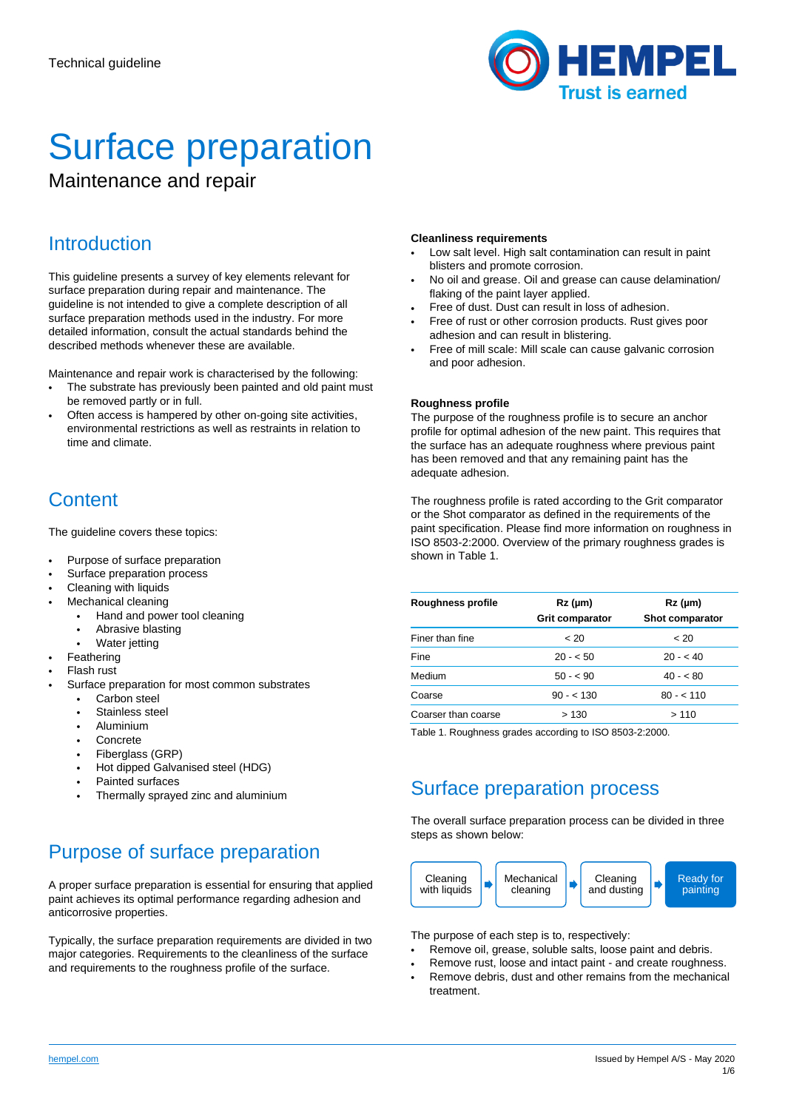

# Surface preparation

Maintenance and repair

# **Introduction**

This guideline presents a survey of key elements relevant for surface preparation during repair and maintenance. The guideline is not intended to give a complete description of all surface preparation methods used in the industry. For more detailed information, consult the actual standards behind the described methods whenever these are available.

Maintenance and repair work is characterised by the following:

- The substrate has previously been painted and old paint must be removed partly or in full.
- Often access is hampered by other on-going site activities, environmental restrictions as well as restraints in relation to time and climate.

# **Content**

The guideline covers these topics:

- Purpose of surface preparation
- Surface preparation process
- Cleaning with liquids
- Mechanical cleaning
	- Hand and power tool cleaning
	- Abrasive blasting
	- Water jetting
- **Feathering**
- Flash rust
- Surface preparation for most common substrates
	- Carbon steel
	- Stainless steel
	- Aluminium
	- **Concrete**
	- Fiberglass (GRP)
	- Hot dipped Galvanised steel (HDG)
	- Painted surfaces
	- Thermally sprayed zinc and aluminium

# Purpose of surface preparation

A proper surface preparation is essential for ensuring that applied paint achieves its optimal performance regarding adhesion and anticorrosive properties.

Typically, the surface preparation requirements are divided in two major categories. Requirements to the cleanliness of the surface and requirements to the roughness profile of the surface.

#### **Cleanliness requirements**

- Low salt level. High salt contamination can result in paint blisters and promote corrosion.
- No oil and grease. Oil and grease can cause delamination/ flaking of the paint layer applied.
- Free of dust. Dust can result in loss of adhesion.
- Free of rust or other corrosion products. Rust gives poor adhesion and can result in blistering.
- Free of mill scale: Mill scale can cause galvanic corrosion and poor adhesion.

### **Roughness profile**

The purpose of the roughness profile is to secure an anchor profile for optimal adhesion of the new paint. This requires that the surface has an adequate roughness where previous paint has been removed and that any remaining paint has the adequate adhesion.

The roughness profile is rated according to the Grit comparator or the Shot comparator as defined in the requirements of the paint specification. Please find more information on roughness in ISO 8503-2:2000. Overview of the primary roughness grades is shown in Table 1.

| Roughness profile   | $Rz$ ( $\mu$ m)<br><b>Grit comparator</b> | $Rz$ (µm)<br>Shot comparator |
|---------------------|-------------------------------------------|------------------------------|
| Finer than fine     | ~< 20                                     | ~< 20                        |
| Fine                | $20 - 50$                                 | $20 - 40$                    |
| Medium              | $50 - 50$                                 | $40 - 80$                    |
| Coarse              | $90 - 130$                                | $80 - 110$                   |
| Coarser than coarse | >130                                      | > 110                        |

Table 1. Roughness grades according to ISO 8503-2:2000.

# Surface preparation process

The overall surface preparation process can be divided in three steps as shown below:



The purpose of each step is to, respectively:

- Remove oil, grease, soluble salts, loose paint and debris.
- Remove rust, loose and intact paint and create roughness.
- Remove debris, dust and other remains from the mechanical treatment.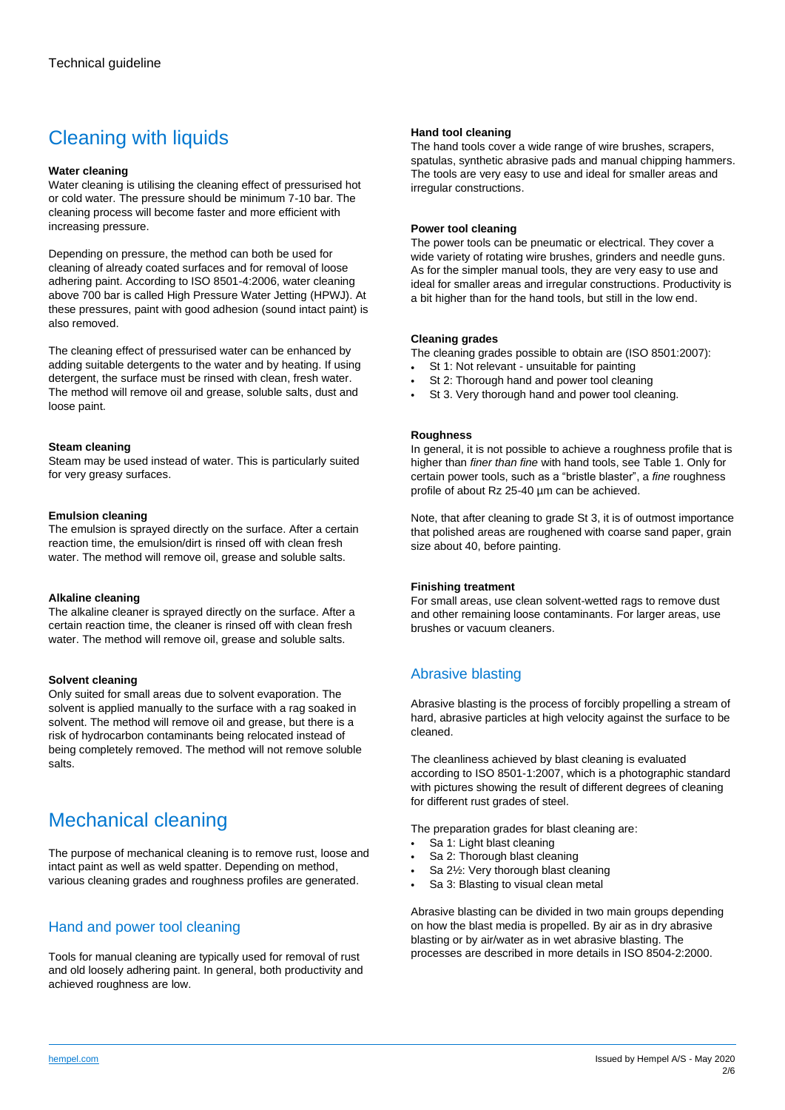# Cleaning with liquids

## **Water cleaning**

Water cleaning is utilising the cleaning effect of pressurised hot or cold water. The pressure should be minimum 7-10 bar. The cleaning process will become faster and more efficient with increasing pressure.

Depending on pressure, the method can both be used for cleaning of already coated surfaces and for removal of loose adhering paint. According to ISO 8501-4:2006, water cleaning above 700 bar is called High Pressure Water Jetting (HPWJ). At these pressures, paint with good adhesion (sound intact paint) is also removed.

The cleaning effect of pressurised water can be enhanced by adding suitable detergents to the water and by heating. If using detergent, the surface must be rinsed with clean, fresh water. The method will remove oil and grease, soluble salts, dust and loose paint.

### **Steam cleaning**

Steam may be used instead of water. This is particularly suited for very greasy surfaces.

# **Emulsion cleaning**

The emulsion is sprayed directly on the surface. After a certain reaction time, the emulsion/dirt is rinsed off with clean fresh water. The method will remove oil, grease and soluble salts.

### **Alkaline cleaning**

The alkaline cleaner is sprayed directly on the surface. After a certain reaction time, the cleaner is rinsed off with clean fresh water. The method will remove oil, grease and soluble salts.

# **Solvent cleaning**

Only suited for small areas due to solvent evaporation. The solvent is applied manually to the surface with a rag soaked in solvent. The method will remove oil and grease, but there is a risk of hydrocarbon contaminants being relocated instead of being completely removed. The method will not remove soluble salts.

# Mechanical cleaning

The purpose of mechanical cleaning is to remove rust, loose and intact paint as well as weld spatter. Depending on method, various cleaning grades and roughness profiles are generated.

# Hand and power tool cleaning

Tools for manual cleaning are typically used for removal of rust and old loosely adhering paint. In general, both productivity and achieved roughness are low.

# **Hand tool cleaning**

The hand tools cover a wide range of wire brushes, scrapers, spatulas, synthetic abrasive pads and manual chipping hammers. The tools are very easy to use and ideal for smaller areas and irregular constructions.

## **Power tool cleaning**

The power tools can be pneumatic or electrical. They cover a wide variety of rotating wire brushes, grinders and needle guns. As for the simpler manual tools, they are very easy to use and ideal for smaller areas and irregular constructions. Productivity is a bit higher than for the hand tools, but still in the low end.

### **Cleaning grades**

The cleaning grades possible to obtain are (ISO 8501:2007):

- St 1: Not relevant unsuitable for painting
- St 2: Thorough hand and power tool cleaning
- St 3. Very thorough hand and power tool cleaning.

# **Roughness**

In general, it is not possible to achieve a roughness profile that is higher than *finer than fine* with hand tools, see Table 1. Only for certain power tools, such as a "bristle blaster", a *fine* roughness profile of about Rz 25-40 µm can be achieved.

Note, that after cleaning to grade St 3, it is of outmost importance that polished areas are roughened with coarse sand paper, grain size about 40, before painting.

### **Finishing treatment**

For small areas, use clean solvent-wetted rags to remove dust and other remaining loose contaminants. For larger areas, use brushes or vacuum cleaners.

# Abrasive blasting

Abrasive blasting is the process of forcibly propelling a stream of hard, abrasive particles at high velocity against the surface to be cleaned.

The cleanliness achieved by blast cleaning is evaluated according to ISO 8501-1:2007, which is a photographic standard with pictures showing the result of different degrees of cleaning for different rust grades of steel.

The preparation grades for blast cleaning are:

- Sa 1: Light blast cleaning
- Sa 2: Thorough blast cleaning
- Sa 2½: Very thorough blast cleaning
- Sa 3: Blasting to visual clean metal

Abrasive blasting can be divided in two main groups depending on how the blast media is propelled. By air as in dry abrasive blasting or by air/water as in wet abrasive blasting. The processes are described in more details in ISO 8504-2:2000.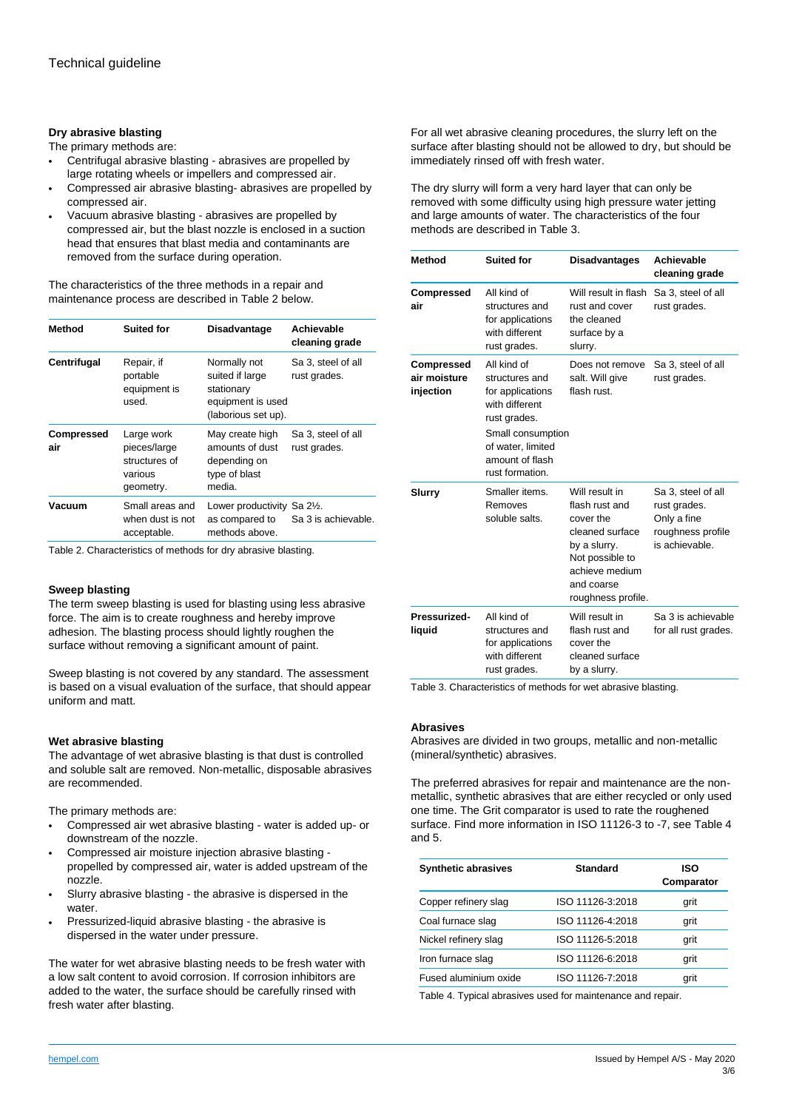# **Dry abrasive blasting**

The primary methods are:

- Centrifugal abrasive blasting abrasives are propelled by large rotating wheels or impellers and compressed air.
- Compressed air abrasive blasting- abrasives are propelled by compressed air.
- Vacuum abrasive blasting abrasives are propelled by compressed air, but the blast nozzle is enclosed in a suction head that ensures that blast media and contaminants are removed from the surface during operation.

The characteristics of the three methods in a repair and maintenance process are described in Table 2 below.

| Method                   | <b>Suited for</b>                                                   | <b>Disadvantage</b>                                                                       | Achievable<br>cleaning grade       |
|--------------------------|---------------------------------------------------------------------|-------------------------------------------------------------------------------------------|------------------------------------|
| Centrifugal              | Repair, if<br>portable<br>equipment is<br>used.                     | Normally not<br>suited if large<br>stationary<br>equipment is used<br>(laborious set up). | Sa 3, steel of all<br>rust grades. |
| <b>Compressed</b><br>air | Large work<br>pieces/large<br>structures of<br>various<br>geometry. | May create high<br>amounts of dust<br>depending on<br>type of blast<br>media.             | Sa 3, steel of all<br>rust grades. |
| Vacuum                   | Small areas and<br>when dust is not<br>acceptable.                  | Lower productivity Sa 21/2.<br>as compared to<br>methods above.                           | Sa 3 is achievable.                |

Table 2. Characteristics of methods for dry abrasive blasting.

### **Sweep blasting**

The term sweep blasting is used for blasting using less abrasive force. The aim is to create roughness and hereby improve adhesion. The blasting process should lightly roughen the surface without removing a significant amount of paint.

Sweep blasting is not covered by any standard. The assessment is based on a visual evaluation of the surface, that should appear uniform and matt.

#### **Wet abrasive blasting**

The advantage of wet abrasive blasting is that dust is controlled and soluble salt are removed. Non-metallic, disposable abrasives are recommended.

The primary methods are:

- Compressed air wet abrasive blasting water is added up- or downstream of the nozzle.
- Compressed air moisture injection abrasive blasting propelled by compressed air, water is added upstream of the nozzle.
- Slurry abrasive blasting the abrasive is dispersed in the water.
- Pressurized-liquid abrasive blasting the abrasive is dispersed in the water under pressure.

The water for wet abrasive blasting needs to be fresh water with a low salt content to avoid corrosion. If corrosion inhibitors are added to the water, the surface should be carefully rinsed with fresh water after blasting.

For all wet abrasive cleaning procedures, the slurry left on the surface after blasting should not be allowed to dry, but should be immediately rinsed off with fresh water.

The dry slurry will form a very hard layer that can only be removed with some difficulty using high pressure water jetting and large amounts of water. The characteristics of the four methods are described in Table 3.

| Method                                  | <b>Suited for</b>                                                                                                                                                   | <b>Disadvantages</b>                                                                                                                                      | Achievable<br>cleaning grade                                                             |
|-----------------------------------------|---------------------------------------------------------------------------------------------------------------------------------------------------------------------|-----------------------------------------------------------------------------------------------------------------------------------------------------------|------------------------------------------------------------------------------------------|
| <b>Compressed</b><br>air                | All kind of<br>structures and<br>for applications<br>with different<br>rust grades.                                                                                 | Will result in flash<br>rust and cover<br>the cleaned<br>surface by a<br>slurry.                                                                          | Sa 3, steel of all<br>rust grades.                                                       |
| Compressed<br>air moisture<br>injection | All kind of<br>structures and<br>for applications<br>with different<br>rust grades.<br>Small consumption<br>of water, limited<br>amount of flash<br>rust formation. | Does not remove<br>salt. Will give<br>flash rust.                                                                                                         | Sa 3, steel of all<br>rust grades.                                                       |
| Slurry                                  | Smaller items.<br>Removes<br>soluble salts.                                                                                                                         | Will result in<br>flash rust and<br>cover the<br>cleaned surface<br>by a slurry.<br>Not possible to<br>achieve medium<br>and coarse<br>roughness profile. | Sa 3, steel of all<br>rust grades.<br>Only a fine<br>roughness profile<br>is achievable. |
| Pressurized-<br>liquid                  | All kind of<br>structures and<br>for applications<br>with different<br>rust grades.                                                                                 | Will result in<br>flash rust and<br>cover the<br>cleaned surface<br>by a slurry.                                                                          | Sa 3 is achievable<br>for all rust grades.                                               |

Table 3. Characteristics of methods for wet abrasive blasting.

#### **Abrasives**

Abrasives are divided in two groups, metallic and non-metallic (mineral/synthetic) abrasives.

The preferred abrasives for repair and maintenance are the nonmetallic, synthetic abrasives that are either recycled or only used one time. The Grit comparator is used to rate the roughened surface. Find more information in ISO 11126-3 to -7, see Table 4 and 5.

| Standard         | ISO<br>Comparator |
|------------------|-------------------|
| ISO 11126-3:2018 | grit              |
| ISO 11126-4:2018 | grit              |
| ISO 11126-5:2018 | grit              |
| ISO 11126-6:2018 | grit              |
| ISO 11126-7:2018 | grit              |
|                  |                   |

Table 4. Typical abrasives used for maintenance and repair.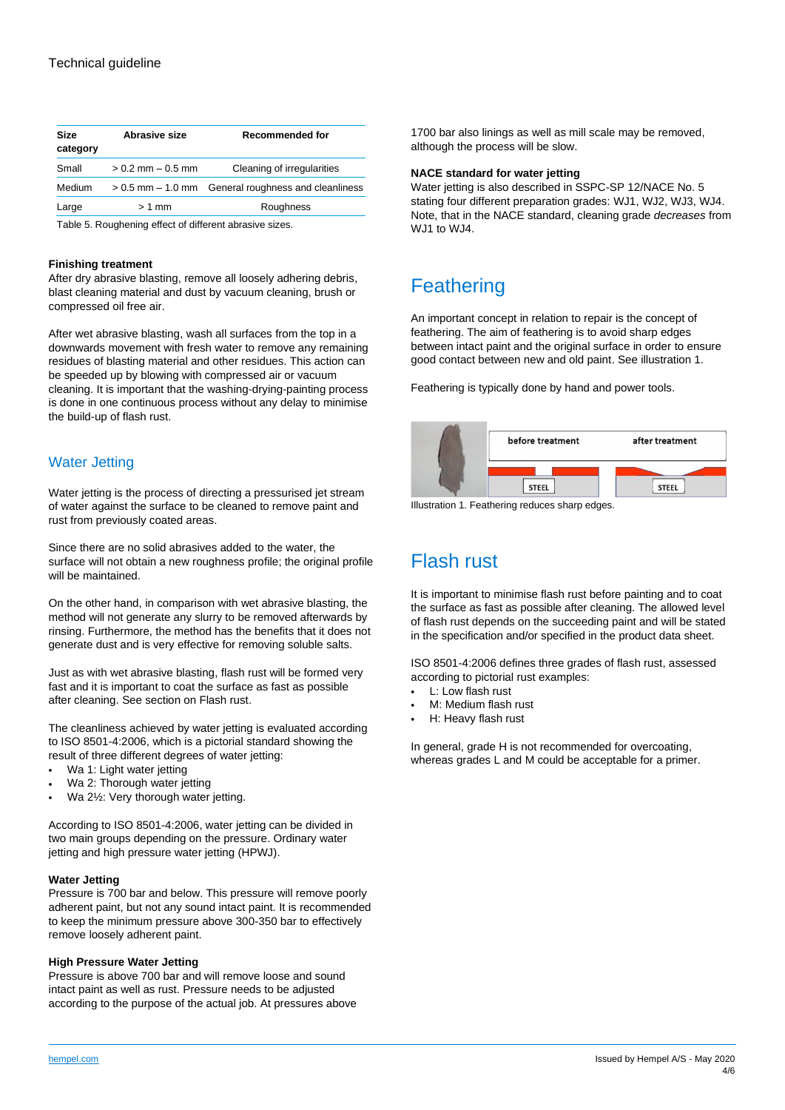| <b>Size</b><br>category | Abrasive size         | <b>Recommended for</b>            |
|-------------------------|-----------------------|-----------------------------------|
| Small                   | $> 0.2$ mm $- 0.5$ mm | Cleaning of irregularities        |
| Medium                  | $> 0.5$ mm $- 1.0$ mm | General roughness and cleanliness |
| Large                   | $>1$ mm               | Roughness                         |
|                         |                       |                                   |

Table 5. Roughening effect of different abrasive sizes.

#### **Finishing treatment**

After dry abrasive blasting, remove all loosely adhering debris, blast cleaning material and dust by vacuum cleaning, brush or compressed oil free air.

After wet abrasive blasting, wash all surfaces from the top in a downwards movement with fresh water to remove any remaining residues of blasting material and other residues. This action can be speeded up by blowing with compressed air or vacuum cleaning. It is important that the washing-drying-painting process is done in one continuous process without any delay to minimise the build-up of flash rust.

# Water Jetting

Water jetting is the process of directing a pressurised jet stream of water against the surface to be cleaned to remove paint and rust from previously coated areas.

Since there are no solid abrasives added to the water, the surface will not obtain a new roughness profile; the original profile will be maintained.

On the other hand, in comparison with wet abrasive blasting, the method will not generate any slurry to be removed afterwards by rinsing. Furthermore, the method has the benefits that it does not generate dust and is very effective for removing soluble salts.

Just as with wet abrasive blasting, flash rust will be formed very fast and it is important to coat the surface as fast as possible after cleaning. See section on Flash rust.

The cleanliness achieved by water jetting is evaluated according to ISO 8501-4:2006, which is a pictorial standard showing the result of three different degrees of water jetting:

- Wa 1: Light water jetting
- Wa 2: Thorough water jetting
- Wa 2½: Very thorough water jetting.

According to ISO 8501-4:2006, water jetting can be divided in two main groups depending on the pressure. Ordinary water jetting and high pressure water jetting (HPWJ).

### **Water Jetting**

Pressure is 700 bar and below. This pressure will remove poorly adherent paint, but not any sound intact paint. It is recommended to keep the minimum pressure above 300-350 bar to effectively remove loosely adherent paint.

### **High Pressure Water Jetting**

Pressure is above 700 bar and will remove loose and sound intact paint as well as rust. Pressure needs to be adjusted according to the purpose of the actual job. At pressures above 1700 bar also linings as well as mill scale may be removed, although the process will be slow.

#### **NACE standard for water jetting**

Water jetting is also described in SSPC-SP 12/NACE No. 5 stating four different preparation grades: WJ1, WJ2, WJ3, WJ4. Note, that in the NACE standard, cleaning grade *decreases* from WJ1 to WJ4.

# **Feathering**

An important concept in relation to repair is the concept of feathering. The aim of feathering is to avoid sharp edges between intact paint and the original surface in order to ensure good contact between new and old paint. See illustration 1.

Feathering is typically done by hand and power tools.



Illustration 1. Feathering reduces sharp edges.

# Flash rust

It is important to minimise flash rust before painting and to coat the surface as fast as possible after cleaning. The allowed level of flash rust depends on the succeeding paint and will be stated in the specification and/or specified in the product data sheet.

ISO 8501-4:2006 defines three grades of flash rust, assessed according to pictorial rust examples:

- L: Low flash rust
- M: Medium flash rust
- H: Heavy flash rust

In general, grade H is not recommended for overcoating, whereas grades L and M could be acceptable for a primer.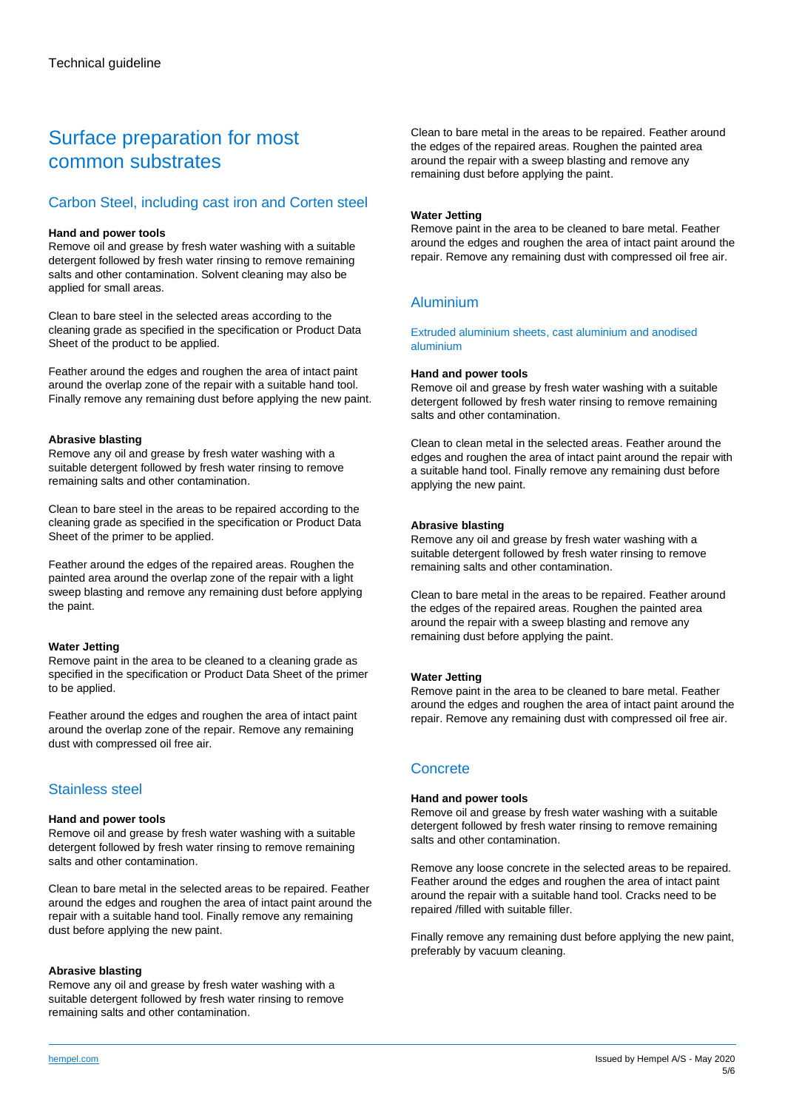# Surface preparation for most common substrates

# Carbon Steel, including cast iron and Corten steel

# **Hand and power tools**

Remove oil and grease by fresh water washing with a suitable detergent followed by fresh water rinsing to remove remaining salts and other contamination. Solvent cleaning may also be applied for small areas.

Clean to bare steel in the selected areas according to the cleaning grade as specified in the specification or Product Data Sheet of the product to be applied.

Feather around the edges and roughen the area of intact paint around the overlap zone of the repair with a suitable hand tool. Finally remove any remaining dust before applying the new paint.

# **Abrasive blasting**

Remove any oil and grease by fresh water washing with a suitable detergent followed by fresh water rinsing to remove remaining salts and other contamination.

Clean to bare steel in the areas to be repaired according to the cleaning grade as specified in the specification or Product Data Sheet of the primer to be applied.

Feather around the edges of the repaired areas. Roughen the painted area around the overlap zone of the repair with a light sweep blasting and remove any remaining dust before applying the paint.

### **Water Jetting**

Remove paint in the area to be cleaned to a cleaning grade as specified in the specification or Product Data Sheet of the primer to be applied.

Feather around the edges and roughen the area of intact paint around the overlap zone of the repair. Remove any remaining dust with compressed oil free air.

# Stainless steel

# **Hand and power tools**

Remove oil and grease by fresh water washing with a suitable detergent followed by fresh water rinsing to remove remaining salts and other contamination.

Clean to bare metal in the selected areas to be repaired. Feather around the edges and roughen the area of intact paint around the repair with a suitable hand tool. Finally remove any remaining dust before applying the new paint.

# **Abrasive blasting**

Remove any oil and grease by fresh water washing with a suitable detergent followed by fresh water rinsing to remove remaining salts and other contamination.

Clean to bare metal in the areas to be repaired. Feather around the edges of the repaired areas. Roughen the painted area around the repair with a sweep blasting and remove any remaining dust before applying the paint.

# **Water Jetting**

Remove paint in the area to be cleaned to bare metal. Feather around the edges and roughen the area of intact paint around the repair. Remove any remaining dust with compressed oil free air.

# Aluminium

Extruded aluminium sheets, cast aluminium and anodised aluminium

# **Hand and power tools**

Remove oil and grease by fresh water washing with a suitable detergent followed by fresh water rinsing to remove remaining salts and other contamination.

Clean to clean metal in the selected areas. Feather around the edges and roughen the area of intact paint around the repair with a suitable hand tool. Finally remove any remaining dust before applying the new paint.

# **Abrasive blasting**

Remove any oil and grease by fresh water washing with a suitable detergent followed by fresh water rinsing to remove remaining salts and other contamination.

Clean to bare metal in the areas to be repaired. Feather around the edges of the repaired areas. Roughen the painted area around the repair with a sweep blasting and remove any remaining dust before applying the paint.

# **Water Jetting**

Remove paint in the area to be cleaned to bare metal. Feather around the edges and roughen the area of intact paint around the repair. Remove any remaining dust with compressed oil free air.

# **Concrete**

# **Hand and power tools**

Remove oil and grease by fresh water washing with a suitable detergent followed by fresh water rinsing to remove remaining salts and other contamination.

Remove any loose concrete in the selected areas to be repaired. Feather around the edges and roughen the area of intact paint around the repair with a suitable hand tool. Cracks need to be repaired /filled with suitable filler.

Finally remove any remaining dust before applying the new paint, preferably by vacuum cleaning.